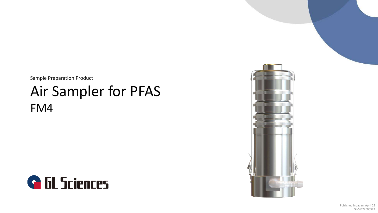Sample Preparation Product

# Air Sampler for PFAS FM4



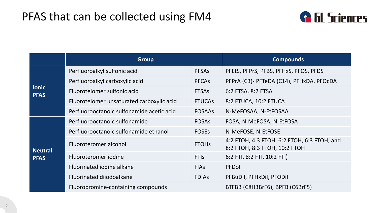

|                             | <b>Group</b>                              |                                 | <b>Compounds</b>                                                             |
|-----------------------------|-------------------------------------------|---------------------------------|------------------------------------------------------------------------------|
|                             | Perfluoroalkyl sulfonic acid              | <b>PFSAs</b>                    | PFEtS, PFPrS, PFBS, PFHxS, PFOS, PFDS                                        |
| <b>lonic</b><br><b>PFAS</b> | Perfluoroalkyl carboxylic acid            | <b>PFCAs</b>                    | PFPrA (C3)- PFTeDA (C14), PFHxDA, PFOcDA                                     |
|                             | Fluorotelomer sulfonic acid               | <b>FTSAs</b>                    | 6:2 FTSA, 8:2 FTSA                                                           |
|                             | Fluorotelomer unsaturated carboxylic acid | <b>FTUCAS</b>                   | 8:2 FTUCA, 10:2 FTUCA                                                        |
|                             | Perfluorooctanoic sulfonamide acetic acid | <b>FOSAAS</b>                   | N-MeFOSAA, N-EtFOSAA                                                         |
|                             | Perfluorooctanoic sulfonamide             | <b>FOSAS</b>                    | FOSA, N-MeFOSA, N-EtFOSA                                                     |
|                             | Perfluorooctanoic sulfonamide ethanol     | <b>FOSES</b>                    | N-MeFOSE, N-EtFOSE                                                           |
| <b>Neutral</b>              | Fluoroteromer alcohol                     | <b>FTOHs</b>                    | 4:2 FTOH, 4:3 FTOH, 6:2 FTOH, 6:3 FTOH, and<br>8:2 FTOH, 8:3 FTOH, 10:2 FTOH |
| <b>PFAS</b>                 | Fluoroteromer jodine                      | <b>FTIS</b>                     | 6:2 FTI, 8:2 FTI, 10:2 FTI)                                                  |
|                             | Fluorinated jodine alkane                 | <b>FIAS</b>                     | PFDol                                                                        |
|                             | Fluorinated diiodoalkane                  | <b>FDIAS</b>                    | PFBuDil, PFHxDil, PFODil                                                     |
|                             | Fluorobromine-containing compounds        | BTFBB (C8H3BrF6), BPFB (C6BrF5) |                                                                              |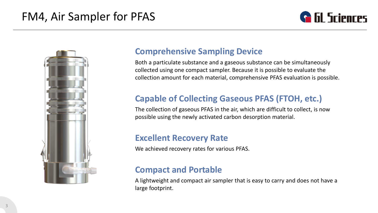# FM4, Air Sampler for PFAS





### **Comprehensive Sampling Device**

Both a particulate substance and a gaseous substance can be simultaneously collected using one compact sampler. Because it is possible to evaluate the collection amount for each material, comprehensive PFAS evaluation is possible.

### **Capable of Collecting Gaseous PFAS (FTOH, etc.)**

The collection of gaseous PFAS in the air, which are difficult to collect, is now possible using the newly activated carbon desorption material.

### **Excellent Recovery Rate**

We achieved recovery rates for various PFAS.

### **Compact and Portable**

A lightweight and compact air sampler that is easy to carry and does not have a large footprint.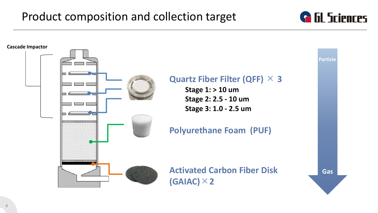# Product composition and collection target



**G** GL Sciences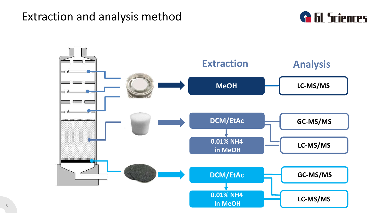# Extraction and analysis method



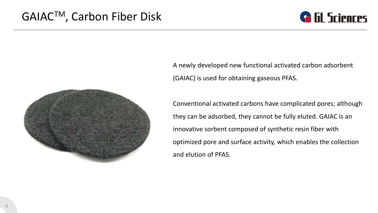



A newly developed new functional activated carbon adsorbent (GAIAC) is used for obtaining gaseous PFAS.

Conventional activated carbons have complicated pores; although they can be adsorbed, they cannot be fully eluted. GAIAC is an innovative sorbent composed of synthetic resin fiber with optimized pore and surface activity, which enables the collection and elution of PFAS.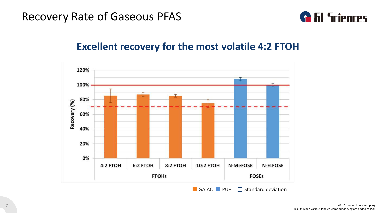

### **Excellent recovery for the most volatile 4:2 FTOH**

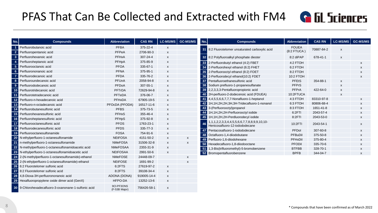# PFAS That Can Be Collected and Extracted with FM4

|  | <b>G</b> GL Sciences |
|--|----------------------|
|--|----------------------|

| No.                     | <b>Compounds</b>                                      | <b>Abbreviation</b>         | <b>CAS RN</b> | LC-MS/MS                  | <b>GC-MS/MS</b> | No.             | <b>Compounds</b>                                                | Abbreviation     | <b>CAS RN</b>        | LC-MS/MS                  | <b>GC-MS/MS</b>           |
|-------------------------|-------------------------------------------------------|-----------------------------|---------------|---------------------------|-----------------|-----------------|-----------------------------------------------------------------|------------------|----------------------|---------------------------|---------------------------|
|                         | Perfluorobutanoic acid                                | <b>PFBA</b>                 | 375-22-4      | X                         |                 |                 | 31 8:2 Fluorotelomer unsaturated carboxylic acid                | <b>FOUEA</b>     | 70887-84-2           |                           |                           |
| $\overline{2}$          | Perfluoropentanoic acid                               | PFPeA                       | 2706-90-3     | X                         |                 |                 |                                                                 | $(8:2$ FTUCA)    |                      | $\boldsymbol{\mathsf{x}}$ |                           |
| $\overline{\mathbf{3}}$ | Perfluorohexanoic acid                                | PFHxA                       | 307-24-4      | X                         |                 |                 | 32 8:2 Polyfluoroalkyl phosphate diester                        | 8:2 diPAP        | 678-41-1             | $\mathsf{x}$              |                           |
| $\overline{4}$          | Perfluoroheptanoic acid                               | PFHpA                       | 375-85-9      | X                         |                 |                 | 33 2-Perfluorobutyl ethanol (4:2) FBET                          | 4:2 FTOH         |                      |                           | X                         |
| $5\phantom{.0}$         | Perfluorooctanoic acid                                | <b>PFOA</b>                 | 335-67-1      | X                         |                 |                 | 34 2-Perfluorohexyl ethanol (6:2) FHET                          | 6:2 FTOH         |                      |                           |                           |
| $6\phantom{1}$          | Perfluorononanoic acid                                | <b>PFNA</b>                 | 375-95-1      | X                         |                 |                 | 35 2-Perfluorooctyl ethanol (8:2) FOET                          | 8:2 FTOH         |                      |                           |                           |
| $\overline{7}$          | Perfluorodecanoic acid                                | <b>PFDA</b>                 | 335-76-2      | x                         |                 |                 | 36 2-Perfluorodecyl ethanol(10:2) FDET                          | 10:2 FTOH        |                      |                           |                           |
| 8                       | Perfluoroundecanoic acid                              | PFUnA                       | 2058-94-8     | x                         |                 |                 | 37 Pentafluoroethanesulfonic acid                               | <b>PFEtS</b>     | 354-88-1             | X                         |                           |
| 9                       | Perfluorododecanoic acid                              | PFDoA                       | 307-55-1      | X                         |                 |                 | 38 Sodium prefluoro-1-propanesulfanate                          | <b>PFPrS</b>     |                      | x                         |                           |
| 10                      | Perfluorotridecanoic acid                             | <b>PFTrDA</b>               | 72629-94-8    | X                         |                 |                 | 39 2,2,3,3,3-Pentafluoropropionic acid                          | <b>PFPrA</b>     | 422-64-0             | X                         |                           |
| 11                      | Perfluorotetradecanoic acid                           | PFTeDA                      | 376-06-7      | X                         |                 |                 | 40 2H-perfluoro-2-dodecenoic acid (FDUEA)                       | 10:2FTUCA        |                      | x                         |                           |
| 12                      | Perfluoro-n-hexadecanoic acid                         | PFHxDA                      | 67905-19-5    | $\boldsymbol{\mathsf{x}}$ |                 |                 | 41 4,4,5,5,6,6,7,7,7-Nonafluoro-1-heptanol                      | 4:3 FTOH         | 83310-97-8           |                           | X                         |
| 13                      | Perfluoro-n-octadecanoic acid                         | PFOcDA (PFODA)              | 16517-11-6    | X                         |                 |                 | 42 1H, 1H, 2H, 2H, 3H, 3H-Tridecafluoro-1-nonanol               | 6:3 FTOH         | 80806-68-4           |                           | X                         |
| 14                      | Perfluorobutanesulfonic acid                          | <b>PFBS</b>                 | 375-73-5      | x                         |                 |                 | 43 3-(Perfluorooctyl)propanol                                   | 8:3 FTOH         | 1651-41-8            |                           | $\boldsymbol{\mathsf{x}}$ |
| 15                      | Perfluorohexanesulfonic acid                          | PFHxS                       | 355-46-4      | X                         |                 |                 | 44 1H, 1H, 2H, 2H-Perfluorooctyl iodide                         | 6:2FTI           | 2043-57-4            |                           | $\boldsymbol{\mathsf{x}}$ |
| 16                      | Perfluoroheptanesulfonic acid                         | <b>PFHpS</b>                | 375-92-8      | X                         |                 |                 | 45 1H, 1H, 2H, 2H-Perdluorodecyl iodide                         | 8:2FTI           | 2043-53-0            |                           | $\boldsymbol{\mathsf{x}}$ |
| 17                      | Perfluorooctanesulfonic acid                          | <b>PFOS</b>                 | 1763-23-1     | X                         |                 |                 | 1,1,1,2,2,3,3,4,4,5,5,6,6,7,7,8,8,9,9,10,10-                    | 10:2FTI          | 2043-54-1            |                           | $\boldsymbol{\mathsf{x}}$ |
| 18                      | Perfluorodecanesulfonic acid                          | <b>PFDS</b>                 | 335-77-3      | x                         |                 |                 | Henicosafluoro-12-iodododecane                                  |                  |                      |                           |                           |
| 19                      | Perfluorooctanesulfonamide                            | <b>FOSA</b>                 | 754-91-6      | $\boldsymbol{\mathsf{x}}$ |                 |                 | 47 Pentacosafluoro-1-iodododecane                               | PFDol<br>PFBuDil | 307-60-8<br>375-50-8 |                           | $\boldsymbol{\mathsf{x}}$ |
| $\overline{20}$         | N-ethylperfluoro-1-octanesulfonamide                  | <b>NEtFOSA</b>              | 4151-50-2     | X                         | x               |                 | 48 Octafluoro-1,4-diiodobutane<br>49 Perfluoro-1,6-diiodohexane | PFHxDil          | 375-80-4             |                           | $\boldsymbol{\mathsf{x}}$ |
| $\vert$ 21              | n-methylperfluoro-1-octanesulfonamide                 | <b>NMeFOSA</b>              | 31506-32-8    | X                         | X               | 50              | Hexadecafluoro-1,8-diiodooctane                                 | <b>PFODil</b>    | 335-70-6             |                           | X<br>X                    |
| 22                      | N-methylperfluoro-1-octanesulfonamidoacetic acid      | <b>NMeFOSAA</b>             | 2355-31-9     | X                         |                 | 51 <sup>1</sup> | 1,3-Bis(trifluoromethyl)-5-bromobenzene                         | <b>BTFBB</b>     | 328-70-1             |                           | X                         |
| $\vert$ 23              | N-ethylperfluoro-1-octanesulfonamidoacetic acid       | <b>NEtFOSAA</b>             | 2991-50-6     | X                         |                 |                 | 52 Bromopentafluorobenzene                                      | <b>BPFB</b>      | 344-04-7             |                           | $\boldsymbol{\mathsf{x}}$ |
| 24                      | 2-(N-methylperfluoro-1-octanesulfonamido)-ethanol     | <b>NMeFOSE</b>              | 24448-09-7    |                           | x               |                 |                                                                 |                  |                      |                           |                           |
| 25                      | 2-(N-ethylperfluoro-1-octanesulfonamide)-ethanol      | <b>NEtFOSE</b>              | 1691-99-2     |                           | X               |                 |                                                                 |                  |                      |                           |                           |
| 26                      | 6:2 Fluorotelomer sulfonic acid                       | 6:2FTS                      | 27619-97-2    | X                         |                 |                 |                                                                 |                  |                      |                           |                           |
| $\sqrt{27}$             | 8:2 Fluorotelomer sulfonic acid                       | 8:2FTS                      | 39108-34-4    | X                         |                 |                 |                                                                 |                  |                      |                           |                           |
| 28                      | 4,8-Dioxa-3H-perfluorononanoic acid                   | ADONA (DONA)                | 919005-14-4   | $\pmb{\mathsf{x}}$        |                 |                 |                                                                 |                  |                      |                           |                           |
| 29                      | Hexafluoropropylene oxide dimer acid (GenX)           | HFPO-DA                     | 13252-13-6    | X                         |                 |                 |                                                                 |                  |                      |                           |                           |
|                         | 30 9-Chlorohexadecafluoro-3-oxanonane-1-sulfonic acid | 9CI-PF3ONS<br>(F-53B Major) | 756426-58-1   | X                         |                 |                 |                                                                 |                  |                      |                           |                           |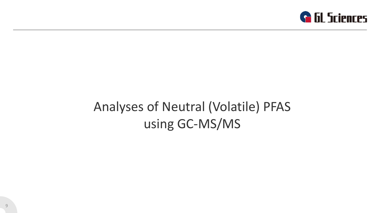

# Analyses of Neutral (Volatile) PFAS using GC-MS/MS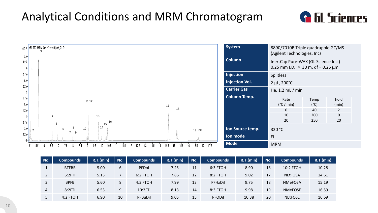



| No. | <b>Compounds</b> | R.T.(min) | No. | Compounds | R.T.(min) | No. | <b>Compounds</b> | R.T.(min) | No. | <b>Compounds</b> | R.T.(min) |
|-----|------------------|-----------|-----|-----------|-----------|-----|------------------|-----------|-----|------------------|-----------|
| ÷н. | <b>BTFBB</b>     | 5.00      | 6   | PFDol     | 7.25      | 11  | 6:3 FTOH         | 8.90      | 16  | 10:2 FTOH        | 10.28     |
|     | 6:2FTI           | 5.13      |     | 6:2 FTOH  | 7.86      | 12  | 8:2 FTOH         | 9.02      | 17  | <b>NEtFOSA</b>   | 14.61     |
| 3   | <b>BPFB</b>      | 5.60      | 8   | 4:3 FTOH  | 7.99      | 13  | PFHxDil          | 9.75      | 18  | <b>NMeFOSA</b>   | 15.19     |
| 4   | 8:2FTI           | 6.53      | 9   | 10:2FTI   | 8.13      | 14  | 8:3 FTOH         | 9.98      | 19  | <b>NMeFOSE</b>   | 16.59     |
|     | 4:2 FTOH         | 6.90      | 10  | PFBuDil   | 9.05      | 15  | <b>PFODil</b>    | 10.38     | 20  | <b>NEtFOSE</b>   | 16.69     |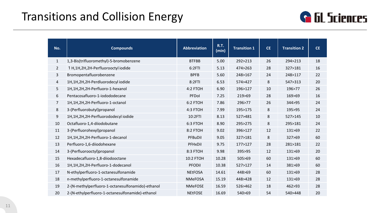# Transitions and Collision Energy



| No.            | <b>Compounds</b>                                  | <b>Abbreviation</b> | <b>R.T.</b><br>(min) | <b>Transition 1</b> | <b>CE</b> | <b>Transition 2</b> | <b>CE</b> |
|----------------|---------------------------------------------------|---------------------|----------------------|---------------------|-----------|---------------------|-----------|
| $\mathbf{1}$   | 1,3-Bis(trifluoromethyl)-5-bromobenzene           | <b>BTFBB</b>        | 5.00                 | 292>213             | 26        | 294>213             | 18        |
| $\overline{2}$ | 1 H, 1H, 2H, 2H-Perfluorooctyl iodide             | 6:2FTI              | 5.13                 | 474>263             | 28        | 327>181             | 16        |
| $\mathbf{3}$   | Bromopentafluorobenzene                           | <b>BPFB</b>         | 5.60                 | 248>167             | 24        | 248>117             | 22        |
| $\overline{4}$ | 1H,1H,2H,2H-Perdluorodecyl iodide                 | 8:2FTI              | 6.53                 | 574>427             | 8         | 547>313             | 20        |
| 5              | 1H,1H,2H,2H-Perfluoro-1-hexanol                   | 4:2 FTOH            | 6.90                 | 196>127             | 10        | 196>77              | 26        |
| 6              | Pentacosafluoro-1-iodododecane                    | PFDol               | 7.25                 | 219>69              | 28        | 169>69              | 16        |
| $\overline{7}$ | 1H,1H,2H,2H-Perfluoro-1-octanol                   | 6:2 FTOH            | 7.86                 | 296>77              | 26        | 344>95              | 24        |
| $\bf 8$        | 3-(Perfluorobutyl)propanol                        | 4:3 FTOH            | 7.99                 | 195>175             | 8         | 195>95              | 24        |
| 9              | 1H,1H,2H,2H-Perfluorododecyl iodide               | 10:2FTI             | 8.13                 | 527>481             | 8         | 527>145             | 10        |
| 10             | Octafluoro-1,4-diiodobutane                       | 6:3 FTOH            | 8.90                 | 295>275             | 8         | 295>181             | 24        |
| 11             | 3-(Perfluorohexyl)propanol                        | 8:2 FTOH            | 9.02                 | 396>127             | 12        | 131>69              | 22        |
| 12             | 1H,1H,2H,2H-Perfluoro-1-decanol                   | PFBuDil             | 9.05                 | 327>181             | 8         | 327>69              | 60        |
| 13             | Perfluoro-1,6-diiodohexane                        | PFHxDil             | 9.75                 | 177>127             | 28        | 281>181             | 22        |
| 14             | 3-(Perfluorooctyl)propanol                        | 8:3 FTOH            | 9.98                 | 395>95              | 12        | 131>69              | 20        |
| 15             | Hexadecafluoro-1,8-diiodooctane                   | 10:2 FTOH           | 10.28                | 505>69              | 60        | 131>69              | 60        |
| 16             | 1H,1H,2H,2H-Perfluoro-1-dodecanol                 | <b>PFODil</b>       | 10.38                | 527>127             | 14        | 381>69              | 60        |
| 17             | N-ethylperfluoro-1-octanesulfonamide              | <b>NEtFOSA</b>      | 14.61                | 448>69              | 60        | 131>69              | 28        |
| 18             | n-methylperfluoro-1-octanesulfonamide             | <b>NMeFOSA</b>      | 15.19                | 448>428             | 12        | 131>69              | 28        |
| 19             | 2-(N-methylperfluoro-1-octanesulfonamido)-ethanol | <b>NMeFOSE</b>      | 16.59                | 526>462             | 18        | 462>93              | 28        |
| 20             | 2-(N-ethylperfluoro-1-octanesulfonamide)-ethanol  | <b>NEtFOSE</b>      | 16.69                | 540>69              | 54        | 540>448             | 20        |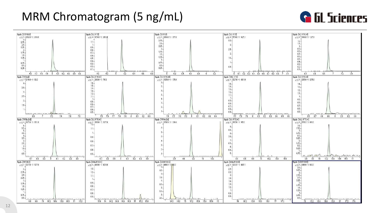# MRM Chromatogram (5 ng/mL)



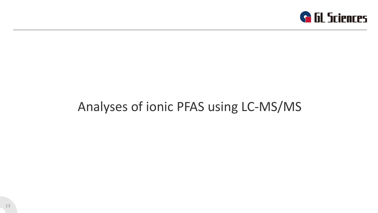

# Analyses of ionic PFAS using LC-MS/MS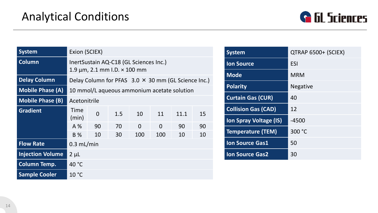

| <b>System</b>           | Exion (SCIEX)                                                                      |                                                            |     |          |          |      |    |  |  |
|-------------------------|------------------------------------------------------------------------------------|------------------------------------------------------------|-----|----------|----------|------|----|--|--|
| <b>Column</b>           | InertSustain AQ-C18 (GL Sciences Inc.)<br>1.9 $\mu$ m, 2.1 mm I.D. $\times$ 100 mm |                                                            |     |          |          |      |    |  |  |
| <b>Delay Column</b>     |                                                                                    | Delay Column for PFAS $3.0 \times 30$ mm (GL Science Inc.) |     |          |          |      |    |  |  |
| <b>Mobile Phase (A)</b> | 10 mmol/L aqueous ammonium acetate solution                                        |                                                            |     |          |          |      |    |  |  |
| <b>Mobile Phase (B)</b> | Acetonitrile                                                                       |                                                            |     |          |          |      |    |  |  |
| <b>Gradient</b>         | Time<br>(min)                                                                      | $\overline{0}$                                             | 1.5 | 10       | 11       | 11.1 | 15 |  |  |
|                         | $A\%$                                                                              | 90                                                         | 70  | $\Omega$ | $\Omega$ | 90   | 90 |  |  |
|                         | B %                                                                                | 10                                                         | 30  | 100      | 100      | 10   | 10 |  |  |
| <b>Flow Rate</b>        | $0.3$ mL/min                                                                       |                                                            |     |          |          |      |    |  |  |
| <b>Injection Volume</b> | $2 \mu L$                                                                          |                                                            |     |          |          |      |    |  |  |
| <b>Column Temp.</b>     | 40 °C                                                                              |                                                            |     |          |          |      |    |  |  |
| <b>Sample Cooler</b>    | 10 °C                                                                              |                                                            |     |          |          |      |    |  |  |

| <b>System</b>              | QTRAP 6500+ (SCIEX) |
|----------------------------|---------------------|
| <b>Ion Source</b>          | <b>ESI</b>          |
| <b>Mode</b>                | <b>MRM</b>          |
| <b>Polarity</b>            | <b>Negative</b>     |
| <b>Curtain Gas (CUR)</b>   | 40                  |
| <b>Collision Gas (CAD)</b> | 12                  |
| Ion Spray Voltage (IS)     | $-4500$             |
| <b>Temperature (TEM)</b>   | 300 °C              |
| <b>Ion Source Gas1</b>     | 50                  |
| <b>Ion Source Gas2</b>     | 30                  |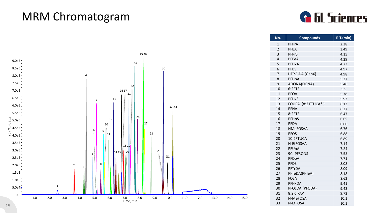# MRM Chromatogram



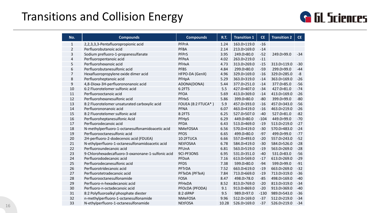# Transitions and Collision Energy



| No.          | <b>Compounds</b>                                   | <b>Compounds</b>   | <b>R.T.</b> | <b>Transition 1</b> | <b>CE</b> | <b>Transition 2</b> | CE    |
|--------------|----------------------------------------------------|--------------------|-------------|---------------------|-----------|---------------------|-------|
| $\mathbf{1}$ | 2,2,3,3,3-Pentafluoropropionic acid                | PFPrA              | 1.24        | 163.0>119.0         | $-16$     |                     |       |
| 2            | Perfluorobutanoic acid                             | <b>PFBA</b>        | 2.14        | 213.0>169.0         | $-14$     |                     |       |
| 3            | Sodium prefluoro-1-propanesulfanate                | <b>PFPrS</b>       | 3.95        | 249.0>80.0          | $-52$     | 249.0>99.0          | $-34$ |
| 4            | Perfluoropentanoic acid                            | PFPeA              | 4.02        | 263.0>219.0         | $-11$     |                     |       |
| 5            | Perfluorohexanoic acid                             | PFHxA              | 4.73        | 313.0>269.0         | $-15$     | 313.0>119.0         | $-30$ |
| 6            | Perfluorobutanesulfonic acid                       | <b>PFBS</b>        | 4.84        | 299.0>80.0          | $-59$     | 299.0>99.0          | $-44$ |
| 7            | Hexafluoropropylene oxide dimer acid               | HFPO-DA (GenX)     | 4.96        | 329.0>169.0         | $-16$     | 329.0>285.0         | -8    |
| 8            | Perfluoroheptanoic acid                            | PFHpA              | 5.29        | 363.0>319.0         | $-14$     | 363.0>169.0         | $-26$ |
| 9            | 4,8-Dioxa-3H-perfluorononanoic acid                | ADONA(DONA)        | 5.44        | 377.0>251.0         | $-14$     | 377.0>85.0          | $-56$ |
| 10           | 6:2 Fluorotelomer sulfonic acid                    | 6:2FTS             | 5.5         | 427.0>407.0         | $-34$     | 427.0>81.0          | $-74$ |
| 11           | Perfluorooctanoic acid                             | <b>PFOA</b>        | 5.69        | 413.0>369.0         | $-14$     | 413.0>169.0         | $-26$ |
| 12           | Perfluorohexanesulfonic acid                       | <b>PFHxS</b>       | 5.86        | 399.0>80.0          | $-80$     | 399.0>99.0          | $-80$ |
| 13           | 8:2 Fluorotelomer unsaturated carboxylic acid      | FOUEA (8:2 FTUCA*) | 5.9         | 457.0>393.0         | $-16$     | 457.0>343.0         | $-56$ |
| 14           | Perfluorononanoic acid                             | <b>PFNA</b>        | 6.07        | 463.0>419.0         | $-16$     | 463.0>219.0         | $-26$ |
| 15           | 8:2 Fluorotelomer sulfonic acid                    | 8:2FTS             | 6.25        | 527.0>507.0         | $-40$     | 527.0>81.0          | $-82$ |
| 16           | Perfluoroheptanesulfonic Acid                      | PFHpS              | 6.29        | 449.0>80.0          | $-104$    | 449.0>99.0          | $-70$ |
| 17           | Perfluorodecanoic acid                             | PFDA               | 6.43        | 513.0>469.0         | $-19$     | 513.0>219.0         | $-27$ |
| 18           | N-methylperfluoro-1-octanesulfonamidoacetic acid   | <b>NMeFOSAA</b>    | 6.56        | 570.0>419.0         | $-30$     | 570.0>483.0         | $-24$ |
| 19           | Perfluorooctanesulfonic acid                       | <b>PFOS</b>        | 6.65        | 499.0>80.0          | $-97$     | 499.0>99.0          | $-77$ |
| 20           | 2H-perfluoro-2-dodecenoic acid (FDUEA)             | 10:2FTUCA          | 6.66        | 557.0>493.0         | $-20$     | 557.0>243.0         | $-52$ |
| 21           | N-ethylperfluoro-1-octanesulfonamidoacetic acid    | <b>NEtFOSAA</b>    | 6.78        | 584.0>419.0         | $-30$     | 584.0>526.0         | $-28$ |
| 22           | Perfluoroundecanoic acid                           | PFUnA              | 6.81        | 563.0>519.0         | $-19$     | 563.0>269.0         | $-28$ |
| 23           | 9-Chlorohexadecafluoro-3-oxanonane-1-sulfonic acid | 9Cl-PF3ONS         | 6.95        | 531.0>351.0         | $-40$     | 531.0>83.0          | $-56$ |
| 24           | Perfluorododecanoic acid                           | PFDoA              | 7.16        | 613.0>569.0         | $-17$     | 613.0>269.0         | $-29$ |
| 25           | Perfluorodecanesulfonic acid                       | <b>PFDS</b>        | 7.38        | 599.0>80.0          | $-94$     | 599.0>99.0          | $-91$ |
| 26           | Perfluorotridecanoic acid                          | PFTrDA             | 7.52        | 663.0>619.0         | $-19$     | 663.0>269.0         | $-32$ |
| 27           | Perfluorotetradecanoic acid                        | PFTeDA (PFTeA)     | 7.84        | 713.0>669.0         | $-19$     | 713.0>319.0         | $-36$ |
| 28           | Perfluorooctanesulfonamide                         | <b>FOSA</b>        | 8.47        | 498.0>78.0          | $-85$     | 498.0>169.0         | $-40$ |
| 29           | Perfluoro-n-hexadecanoic acid                      | PFHxDA             | 8.52        | 813.0>769.0         | $-20$     | 813.0>319.0         | $-34$ |
| 30           | Perfluoro-n-octadecanoic acid                      | PFOCDA (PFODA)     | 9.1         | 913.0>869.0         | $-20$     | 913.0>369.0         | $-40$ |
| 31           | 8:2 Polyfluoroalkyl phosphate diester              | 8:2 diPAP          | 9.5         | 989.0>97.0          | $-130$    | 989.0>543.0         | $-36$ |
| 32           | n-methylperfluoro-1-octanesulfonamide              | <b>NMeFOSA</b>     | 9.96        | 512.0>169.0         | $-37$     | 512.0>219.0         | $-34$ |
| 33           | N-ethylperfluoro-1-octanesulfonamide               | <b>NEtFOSA</b>     | 10.28       | 526.0>169.0         | $-37$     | 526.0>219.0         | $-34$ |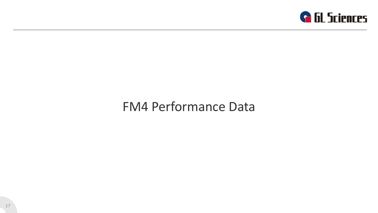

# FM4 Performance Data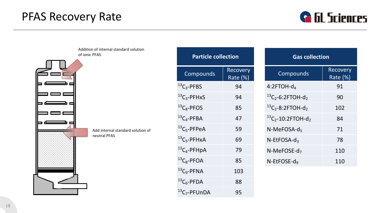### PFAS Recovery Rate



Addition of internal standard solution of ionic PFAS



| <b>Particle collection</b>           |                             |              |
|--------------------------------------|-----------------------------|--------------|
| Compounds                            | <b>Recovery</b><br>Rate (%) |              |
| $^{13}C_3$ -PFBS                     | 94                          | 4:2F         |
| $^{13}C_3$ -PFHxS                    | 94                          | $^{13}C_{2}$ |
| ${}^{13}C_8$ -PFOS                   | 85                          | $^{13}C_{2}$ |
| ${}^{13}C_4$ -PFBA                   | 47                          | $^{13}C_{2}$ |
| ${}^{13}C_5$ -PFPeA                  | 59                          | $N-N$        |
| ${}^{13}C_5$ -PFHxA                  | 69                          | N-Et         |
| ${}^{13}C_4$ -PFHpA                  | 79                          | $N-N$        |
| ${}^{13}C_8$ -PFOA                   | 85                          | N-Et         |
| $^{13}C_9$ -PFNA                     | 103                         |              |
| ${}^{13}C_6$ -PFDA                   | 88                          |              |
| <sup>13</sup> C <sub>7</sub> -PFUnDA | 95                          |              |

| <b>Gas collection</b>                 |                      |  |  |  |  |  |
|---------------------------------------|----------------------|--|--|--|--|--|
| Compounds                             | Recovery<br>Rate (%) |  |  |  |  |  |
| $4:2$ FTOH- $d_4$                     | 91                   |  |  |  |  |  |
| $^{13}C_{2}$ -6:2FTOH-d <sub>2</sub>  | 90                   |  |  |  |  |  |
| $^{13}C_{2}$ -8:2FTOH-d <sub>2</sub>  | 102                  |  |  |  |  |  |
| $^{13}C_{2}$ -10:2FTOH-d <sub>2</sub> | 84                   |  |  |  |  |  |
| $N-MeFOSA-d5$                         | 71                   |  |  |  |  |  |
| N-EtFOSA-d3                           | 78                   |  |  |  |  |  |
| N-MeFOSE-d <sub>7</sub>               | 110                  |  |  |  |  |  |
| $N$ -EtFOSE-d <sub>9</sub>            | 110                  |  |  |  |  |  |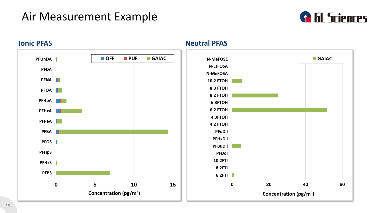### Air Measurement Example





**Ionic PFAS Neutral PFAS**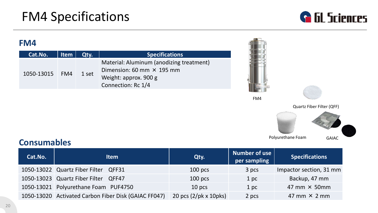

#### **FM4**

| Cat.No.    | <b>Item</b> | Qtv.  | <b>Specifications</b>                                                                                                       |
|------------|-------------|-------|-----------------------------------------------------------------------------------------------------------------------------|
| 1050-13015 | FM4         | 1 set | Material: Aluminum (anodizing treatment)<br>Dimension: 60 mm $\times$ 195 mm<br>Weight: approx. 900 g<br>Connection: Rc 1/4 |



FM4



Quartz Fiber Filter (QFF)



### **Consumables**

| Cat.No. | <b>Item</b>                                          | Qty.                                        | Number of use<br>per sampling | <b>Specifications</b>   |
|---------|------------------------------------------------------|---------------------------------------------|-------------------------------|-------------------------|
|         | 1050-13022 Quartz Fiber Filter QFF31                 | $100$ pcs                                   | 3 pcs                         | Impactor section, 31 mm |
|         | 1050-13023 Quartz Fiber Filter QFF47                 | $100$ pcs                                   | 1 <sub>p<sub>c</sub></sub>    | Backup, 47 mm           |
|         | 1050-13021 Polyurethane Foam PUF4750                 | 10 pcs                                      | 1 pc                          | 47 mm $\times$ 50 mm    |
|         | 1050-13020 Activated Carbon Fiber Disk (GAIAC FF047) | 20 pcs $(2/\text{pk} \times 10 \text{pks})$ | 2 pcs                         | 47 mm $\times$ 2 mm     |